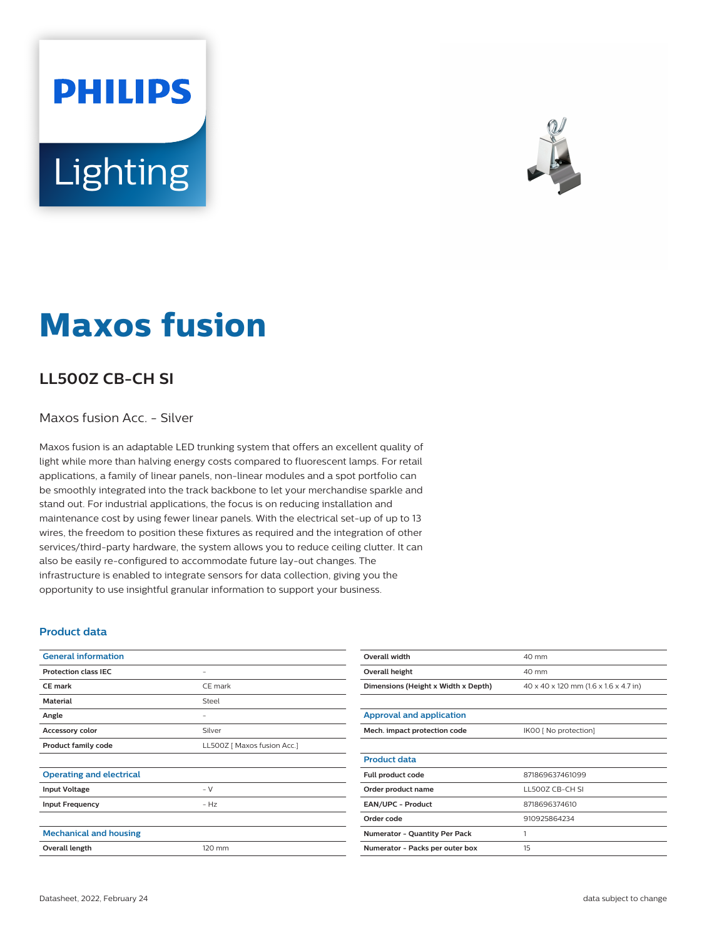# **PHILIPS** Lighting



## **Maxos fusion**

### **LL500Z CB-CH SI**

#### Maxos fusion Acc. - Silver

Maxos fusion is an adaptable LED trunking system that offers an excellent quality of light while more than halving energy costs compared to fluorescent lamps. For retail applications, a family of linear panels, non-linear modules and a spot portfolio can be smoothly integrated into the track backbone to let your merchandise sparkle and stand out. For industrial applications, the focus is on reducing installation and maintenance cost by using fewer linear panels. With the electrical set-up of up to 13 wires, the freedom to position these fixtures as required and the integration of other services/third-party hardware, the system allows you to reduce ceiling clutter. It can also be easily re-configured to accommodate future lay-out changes. The infrastructure is enabled to integrate sensors for data collection, giving you the opportunity to use insightful granular information to support your business.

#### **Product data**

| <b>General information</b>      |                             |
|---------------------------------|-----------------------------|
| <b>Protection class IEC</b>     | -                           |
| <b>CE</b> mark                  | CE mark                     |
| <b>Material</b>                 | Steel                       |
| Angle                           | -                           |
| Accessory color                 | Silver                      |
| <b>Product family code</b>      | LL500Z [ Maxos fusion Acc.] |
|                                 |                             |
| <b>Operating and electrical</b> |                             |
| <b>Input Voltage</b>            | - V                         |
| <b>Input Frequency</b>          | $-Hz$                       |
|                                 |                             |
| <b>Mechanical and housing</b>   |                             |
| Overall length                  | 120 mm                      |
|                                 |                             |

| <b>Overall width</b>                 | 40 mm                                 |
|--------------------------------------|---------------------------------------|
| Overall height                       | 40 mm                                 |
| Dimensions (Height x Width x Depth)  | 40 x 40 x 120 mm (1.6 x 1.6 x 4.7 in) |
|                                      |                                       |
| <b>Approval and application</b>      |                                       |
| Mech. impact protection code         | IK00 [ No protection]                 |
|                                      |                                       |
| <b>Product data</b>                  |                                       |
| Full product code                    | 871869637461099                       |
| Order product name                   | LL500Z CB-CH SI                       |
| <b>EAN/UPC - Product</b>             | 8718696374610                         |
| Order code                           | 910925864234                          |
| <b>Numerator - Quantity Per Pack</b> | 1                                     |
| Numerator - Packs per outer box      | 15                                    |